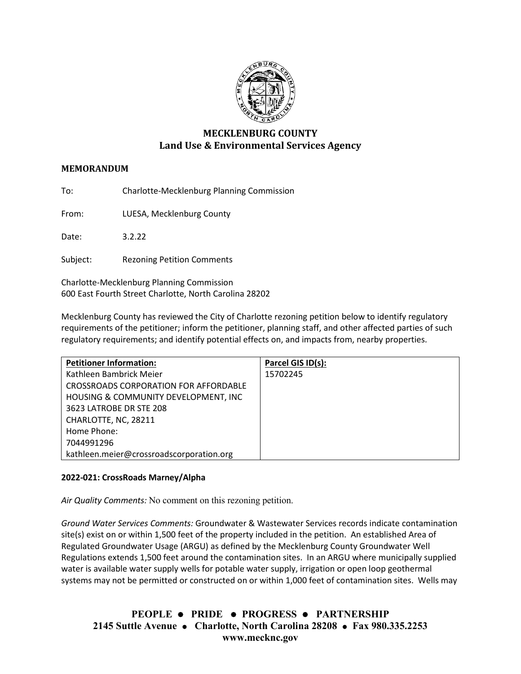

# **MECKLENBURG COUNTY Land Use & Environmental Services Agency**

## **MEMORANDUM**

To: Charlotte-Mecklenburg Planning Commission

From: LUESA, Mecklenburg County

Date: 3.2.22

Subject: Rezoning Petition Comments

Charlotte-Mecklenburg Planning Commission 600 East Fourth Street Charlotte, North Carolina 28202

Mecklenburg County has reviewed the City of Charlotte rezoning petition below to identify regulatory requirements of the petitioner; inform the petitioner, planning staff, and other affected parties of such regulatory requirements; and identify potential effects on, and impacts from, nearby properties.

| <b>Petitioner Information:</b>               | Parcel GIS ID(s): |
|----------------------------------------------|-------------------|
| Kathleen Bambrick Meier                      | 15702245          |
| <b>CROSSROADS CORPORATION FOR AFFORDABLE</b> |                   |
| HOUSING & COMMUNITY DEVELOPMENT, INC         |                   |
| 3623 LATROBE DR STE 208                      |                   |
| CHARLOTTE, NC, 28211                         |                   |
| Home Phone:                                  |                   |
| 7044991296                                   |                   |
| kathleen.meier@crossroadscorporation.org     |                   |

## **2022-021: CrossRoads Marney/Alpha**

*Air Quality Comments:* No comment on this rezoning petition.

*Ground Water Services Comments:* Groundwater & Wastewater Services records indicate contamination site(s) exist on or within 1,500 feet of the property included in the petition. An established Area of Regulated Groundwater Usage (ARGU) as defined by the Mecklenburg County Groundwater Well Regulations extends 1,500 feet around the contamination sites. In an ARGU where municipally supplied water is available water supply wells for potable water supply, irrigation or open loop geothermal systems may not be permitted or constructed on or within 1,000 feet of contamination sites. Wells may

**PEOPLE PRIDE PROGRESS PARTNERSHIP 2145 Suttle Avenue Charlotte, North Carolina 28208 Fax 980.335.2253 www.mecknc.gov**